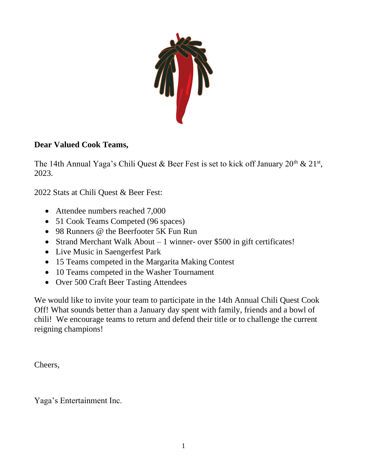

### **Dear Valued Cook Teams,**

The 14th Annual Yaga's Chili Quest & Beer Fest is set to kick off January  $20^{th}$  &  $21^{st}$ , 2023.

2022 Stats at Chili Quest & Beer Fest:

- Attendee numbers reached 7,000
- 51 Cook Teams Competed (96 spaces)
- 98 Runners @ the Beerfooter 5K Fun Run
- Strand Merchant Walk About 1 winner- over \$500 in gift certificates!
- Live Music in Saengerfest Park
- 15 Teams competed in the Margarita Making Contest
- 10 Teams competed in the Washer Tournament
- Over 500 Craft Beer Tasting Attendees

We would like to invite your team to participate in the 14th Annual Chili Quest Cook Off! What sounds better than a January day spent with family, friends and a bowl of chili! We encourage teams to return and defend their title or to challenge the current reigning champions!

Cheers,

Yaga's Entertainment Inc.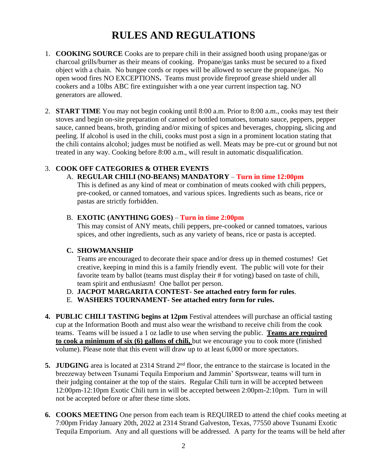### **RULES AND REGULATIONS**

- 1. **COOKING SOURCE** Cooks are to prepare chili in their assigned booth using propane/gas or charcoal grills/burner as their means of cooking. Propane/gas tanks must be secured to a fixed object with a chain. No bungee cords or ropes will be allowed to secure the propane/gas. No open wood fires NO EXCEPTIONS**.** Teams must provide fireproof grease shield under all cookers and a 10lbs ABC fire extinguisher with a one year current inspection tag. NO generators are allowed.
- 2. **START TIME** You may not begin cooking until 8:00 a.m. Prior to 8:00 a.m., cooks may test their stoves and begin on-site preparation of canned or bottled tomatoes, tomato sauce, peppers, pepper sauce, canned beans, broth, grinding and/or mixing of spices and beverages, chopping, slicing and peeling. If alcohol is used in the chili, cooks must post a sign in a prominent location stating that the chili contains alcohol; judges must be notified as well. Meats may be pre-cut or ground but not treated in any way. Cooking before 8:00 a.m., will result in automatic disqualification.

#### 3. **COOK OFF CATEGORIES & OTHER EVENTS**

#### A. **REGULAR CHILI (NO-BEANS) MANDATORY** – **Turn in time 12:00pm**

This is defined as any kind of meat or combination of meats cooked with chili peppers, pre-cooked, or canned tomatoes, and various spices. Ingredients such as beans, rice or pastas are strictly forbidden.

#### B. **EXOTIC (ANYTHING GOES)** – **Turn in time 2:00pm**

This may consist of ANY meats, chili peppers, pre-cooked or canned tomatoes, various spices, and other ingredients, such as any variety of beans, rice or pasta is accepted.

#### **C. SHOWMANSHIP**

Teams are encouraged to decorate their space and/or dress up in themed costumes! Get creative, keeping in mind this is a family friendly event. The public will vote for their favorite team by ballot (teams must display their # for voting) based on taste of chili, team spirit and enthusiasm! One ballot per person.

- D. **JACPOT MARGARITA CONTEST- See attached entry form for rules**.
- E. **WASHERS TOURNAMENT- See attached entry form for rules.**
- **4. PUBLIC CHILI TASTING begins at 12pm** Festival attendees will purchase an official tasting cup at the Information Booth and must also wear the wristband to receive chili from the cook teams. Teams will be issued a 1 oz ladle to use when serving the public. **Teams are required to cook a minimum of six (6) gallons of chili,** but we encourage you to cook more (finished volume). Please note that this event will draw up to at least 6,000 or more spectators.
- **5. JUDGING** area is located at 2314 Strand 2<sup>nd</sup> floor, the entrance to the staircase is located in the breezeway between Tsunami Tequila Emporium and Jammin' Sportswear, teams will turn in their judging container at the top of the stairs.Regular Chili turn in will be accepted between 12:00pm-12:10pm Exotic Chili turn in will be accepted between 2:00pm-2:10pm. Turn in will not be accepted before or after these time slots.
- **6. COOKS MEETING** One person from each team is REQUIRED to attend the chief cooks meeting at 7:00pm Friday January 20th, 2022 at 2314 Strand Galveston, Texas, 77550 above Tsunami Exotic Tequila Emporium. Any and all questions will be addressed. A party for the teams will be held after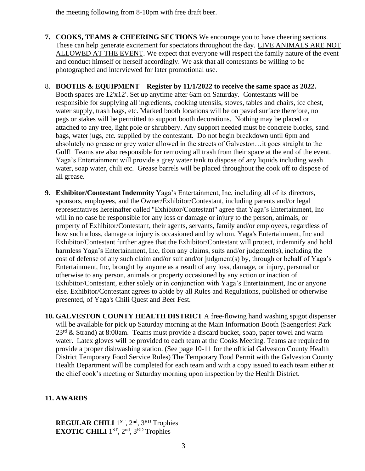the meeting following from 8-10pm with free draft beer.

- **7. COOKS, TEAMS & CHEERING SECTIONS** We encourage you to have cheering sections. These can help generate excitement for spectators throughout the day. LIVE ANIMALS ARE NOT ALLOWED AT THE EVENT. We expect that everyone will respect the family nature of the event and conduct himself or herself accordingly. We ask that all contestants be willing to be photographed and interviewed for later promotional use.
- 8. **BOOTHS & EQUIPMENT – Register by 11/1/2022 to receive the same space as 2022.**  Booth spaces are 12'x12'. Set up anytime after 6am on Saturday. Contestants will be responsible for supplying all ingredients, cooking utensils, stoves, tables and chairs, ice chest, water supply, trash bags, etc. Marked booth locations will be on paved surface therefore, no pegs or stakes will be permitted to support booth decorations. Nothing may be placed or attached to any tree, light pole or shrubbery. Any support needed must be concrete blocks, sand bags, water jugs, etc. supplied by the contestant. Do not begin breakdown until 6pm and absolutely no grease or grey water allowed in the streets of Galveston…it goes straight to the Gulf! Teams are also responsible for removing all trash from their space at the end of the event. Yaga's Entertainment will provide a grey water tank to dispose of any liquids including wash water, soap water, chili etc. Grease barrels will be placed throughout the cook off to dispose of all grease.
- **9. Exhibitor/Contestant Indemnity** Yaga's Entertainment, Inc, including all of its directors, sponsors, employees, and the Owner/Exhibitor/Contestant, including parents and/or legal representatives hereinafter called "Exhibitor/Contestant" agree that Yaga's Entertainment, Inc will in no case be responsible for any loss or damage or injury to the person, animals, or property of Exhibitor/Contestant, their agents, servants, family and/or employees, regardless of how such a loss, damage or injury is occasioned and by whom. Yaga's Entertainment, Inc and Exhibitor/Contestant further agree that the Exhibitor/Contestant will protect, indemnify and hold harmless Yaga's Entertainment, Inc, from any claims, suits and/or judgment(s), including the cost of defense of any such claim and/or suit and/or judgment(s) by, through or behalf of Yaga's Entertainment, Inc, brought by anyone as a result of any loss, damage, or injury, personal or otherwise to any person, animals or property occasioned by any action or inaction of Exhibitor/Contestant, either solely or in conjunction with Yaga's Entertainment, Inc or anyone else. Exhibitor/Contestant agrees to abide by all Rules and Regulations, published or otherwise presented, of Yaga's Chili Quest and Beer Fest.
- **10. GALVESTON COUNTY HEALTH DISTRICT** A free-flowing hand washing spigot dispenser will be available for pick up Saturday morning at the Main Information Booth (Saengerfest Park  $23<sup>rd</sup>$  & Strand) at 8:00am. Teams must provide a discard bucket, soap, paper towel and warm water. Latex gloves will be provided to each team at the Cooks Meeting. Teams are required to provide a proper dishwashing station. (See page 10-11 for the official Galveston County Health District Temporary Food Service Rules) The Temporary Food Permit with the Galveston County Health Department will be completed for each team and with a copy issued to each team either at the chief cook's meeting or Saturday morning upon inspection by the Health District.

#### **11. AWARDS**

**REGULAR CHILI** 1 ST, 2nd, 3RD Trophies **EXOTIC CHILI** 1 ST, 2nd, 3RD Trophies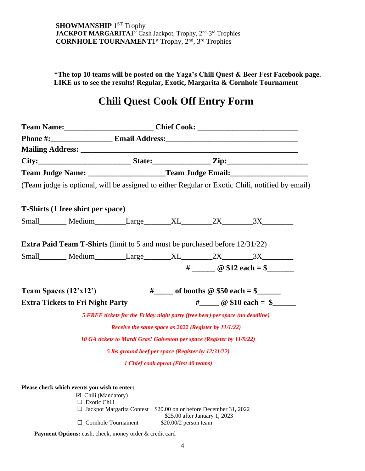**\*The top 10 teams will be posted on the Yaga's Chili Quest & Beer Fest Facebook page. LIKE us to see the results! Regular, Exotic, Margarita & Cornhole Tournament** 

### **Chili Quest Cook Off Entry Form**

| Team Judge Name: _____________________Team Judge Email: ________________________                |                                                                               |                                                      |                               |                       |  |
|-------------------------------------------------------------------------------------------------|-------------------------------------------------------------------------------|------------------------------------------------------|-------------------------------|-----------------------|--|
| (Team judge is optional, will be assigned to either Regular or Exotic Chili, notified by email) |                                                                               |                                                      |                               |                       |  |
| T-Shirts (1 free shirt per space)                                                               |                                                                               |                                                      |                               |                       |  |
|                                                                                                 |                                                                               |                                                      |                               |                       |  |
| <b>Extra Paid Team T-Shirts</b> (limit to 5 and must be purchased before 12/31/22)              |                                                                               |                                                      |                               |                       |  |
|                                                                                                 |                                                                               |                                                      |                               |                       |  |
|                                                                                                 |                                                                               |                                                      |                               | $\#$ @ \$12 each = \$ |  |
|                                                                                                 |                                                                               |                                                      |                               |                       |  |
| Team Spaces $(12'x12')$                                                                         |                                                                               | #______ of booths $@$ \$50 each = \$________         |                               |                       |  |
| <b>Extra Tickets to Fri Night Party</b>                                                         |                                                                               |                                                      |                               | $\#$ @ \$10 each = \$ |  |
|                                                                                                 | 5 FREE tickets for the Friday night party (free beer) per space (no deadline) |                                                      |                               |                       |  |
|                                                                                                 |                                                                               | Receive the same space as 2022 (Register by 11/1/22) |                               |                       |  |
|                                                                                                 | 10 GA tickets to Mardi Gras! Galveston per space (Register by 11/9/22)        |                                                      |                               |                       |  |
|                                                                                                 | 5 lbs ground beef per space (Register by 12/31/22)                            |                                                      |                               |                       |  |
|                                                                                                 |                                                                               | 1 Chief cook apron (First 40 teams)                  |                               |                       |  |
|                                                                                                 |                                                                               |                                                      |                               |                       |  |
| Please check which events you wish to enter:                                                    | $\boxtimes$ Chili (Mandatory)                                                 |                                                      |                               |                       |  |
|                                                                                                 | $\Box$ Exotic Chili                                                           |                                                      |                               |                       |  |
|                                                                                                 | $\Box$ Jackpot Margarita Contest \$20.00 on or before December 31, 2022       |                                                      | \$25.00 after January 1, 2023 |                       |  |
| $\Box$ Cornhole Tournament                                                                      |                                                                               | $$20.00/2$ person team                               |                               |                       |  |

Payment Options: cash, check, money order & credit card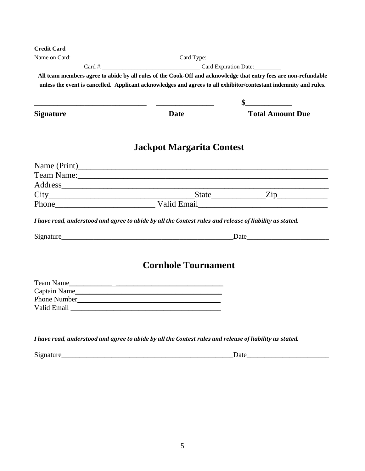| <b>Credit Card</b> |                                                                                                                                                                                                                                      |                         |  |  |  |
|--------------------|--------------------------------------------------------------------------------------------------------------------------------------------------------------------------------------------------------------------------------------|-------------------------|--|--|--|
|                    | Name on Card: Card Type:                                                                                                                                                                                                             |                         |  |  |  |
|                    | Card #: Card Expiration Date:                                                                                                                                                                                                        |                         |  |  |  |
|                    | All team members agree to abide by all rules of the Cook-Off and acknowledge that entry fees are non-refundable<br>unless the event is cancelled. Applicant acknowledges and agrees to all exhibitor/contestant indemnity and rules. |                         |  |  |  |
|                    |                                                                                                                                                                                                                                      | $\sim$ $\sim$           |  |  |  |
| <b>Signature</b>   | <b>Date</b>                                                                                                                                                                                                                          | <b>Total Amount Due</b> |  |  |  |
|                    | Jackpot Margarita Contest                                                                                                                                                                                                            |                         |  |  |  |
|                    |                                                                                                                                                                                                                                      |                         |  |  |  |
|                    |                                                                                                                                                                                                                                      |                         |  |  |  |
|                    |                                                                                                                                                                                                                                      |                         |  |  |  |
|                    |                                                                                                                                                                                                                                      |                         |  |  |  |
|                    | Phone Valid Email                                                                                                                                                                                                                    |                         |  |  |  |
|                    | I have read, understood and agree to abide by all the Contest rules and release of liability as stated.                                                                                                                              |                         |  |  |  |
|                    |                                                                                                                                                                                                                                      |                         |  |  |  |
|                    | <b>Cornhole Tournament</b>                                                                                                                                                                                                           |                         |  |  |  |
|                    | Team Name                                                                                                                                                                                                                            |                         |  |  |  |
|                    |                                                                                                                                                                                                                                      |                         |  |  |  |
|                    |                                                                                                                                                                                                                                      |                         |  |  |  |
|                    | Valid Email and the state of the state of the state of the state of the state of the state of the state of the state of the state of the state of the state of the state of the state of the state of the state of the state o       |                         |  |  |  |
|                    |                                                                                                                                                                                                                                      |                         |  |  |  |
|                    |                                                                                                                                                                                                                                      |                         |  |  |  |

*I have read, understood and agree to abide by all the Contest rules and release of liability as stated.*

Signature\_\_\_\_\_\_\_\_\_\_\_\_\_\_\_\_\_\_\_\_\_\_\_\_\_\_\_\_\_\_\_\_\_\_\_\_\_\_\_\_\_\_\_\_\_\_\_\_Date\_\_\_\_\_\_\_\_\_\_\_\_\_\_\_\_\_\_\_\_\_\_\_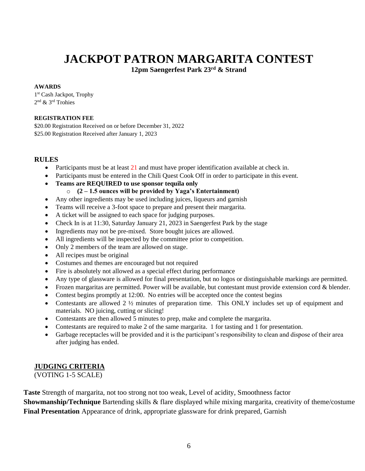# **JACKPOT PATRON MARGARITA CONTEST**

**12pm Saengerfest Park 23rd & Strand**

#### **AWARDS**

1 st Cash Jackpot, Trophy 2 nd & 3rd Trohies

#### **REGISTRATION FEE**

\$20.00 Registration Received on or before December 31, 2022 \$25.00 Registration Received after January 1, 2023

#### **RULES**

- Participants must be at least  $21$  and must have proper identification available at check in.
- Participants must be entered in the Chili Quest Cook Off in order to participate in this event.
- **Teams are REQUIRED to use sponsor tequila only**
	- o **(2 – 1.5 ounces will be provided by Yaga's Entertainment)**
- Any other ingredients may be used including juices, liqueurs and garnish
- Teams will receive a 3-foot space to prepare and present their margarita.
- A ticket will be assigned to each space for judging purposes.
- Check In is at 11:30, Saturday January 21, 2023 in Saengerfest Park by the stage
- Ingredients may not be pre-mixed. Store bought juices are allowed.
- All ingredients will be inspected by the committee prior to competition.
- Only 2 members of the team are allowed on stage.
- All recipes must be original
- Costumes and themes are encouraged but not required
- Fire is absolutely not allowed as a special effect during performance
- Any type of glassware is allowed for final presentation, but no logos or distinguishable markings are permitted.
- Frozen margaritas are permitted. Power will be available, but contestant must provide extension cord & blender.
- Contest begins promptly at 12:00. No entries will be accepted once the contest begins
- Contestants are allowed 2  $\frac{1}{2}$  minutes of preparation time. This ONLY includes set up of equipment and materials. NO juicing, cutting or slicing!
- Contestants are then allowed 5 minutes to prep, make and complete the margarita.
- Contestants are required to make 2 of the same margarita. 1 for tasting and 1 for presentation.
- Garbage receptacles will be provided and it is the participant's responsibility to clean and dispose of their area after judging has ended.

#### **JUDGING CRITERIA**

(VOTING 1-5 SCALE)

**Taste** Strength of margarita, not too strong not too weak, Level of acidity, Smoothness factor **Showmanship/Technique** Bartending skills & flare displayed while mixing margarita, creativity of theme/costume **Final Presentation** Appearance of drink, appropriate glassware for drink prepared, Garnish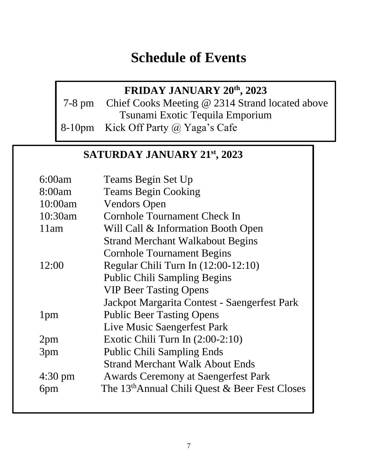# **Schedule of Events**

## **FRIDAY JANUARY 20th, 2023**

7-8 pm Chief Cooks Meeting @ 2314 Strand located above Tsunami Exotic Tequila Emporium 8-10pm Kick Off Party @ Yaga's Cafe

### **SATURDAY JANUARY 21st, 2023**

| 6:00am            | Teams Begin Set Up                               |
|-------------------|--------------------------------------------------|
| 8:00am            | <b>Teams Begin Cooking</b>                       |
| 10:00am           | <b>Vendors Open</b>                              |
| 10:30am           | Cornhole Tournament Check In                     |
| 11am              | Will Call & Information Booth Open               |
|                   | <b>Strand Merchant Walkabout Begins</b>          |
|                   | <b>Cornhole Tournament Begins</b>                |
| 12:00             | Regular Chili Turn In $(12:00-12:10)$            |
|                   | <b>Public Chili Sampling Begins</b>              |
|                   | <b>VIP Beer Tasting Opens</b>                    |
|                   | Jackpot Margarita Contest - Saengerfest Park     |
| 1 <sub>pm</sub>   | <b>Public Beer Tasting Opens</b>                 |
|                   | Live Music Saengerfest Park                      |
| 2 <sub>pm</sub>   | Exotic Chili Turn In $(2:00-2:10)$               |
| 3pm               | <b>Public Chili Sampling Ends</b>                |
|                   | <b>Strand Merchant Walk About Ends</b>           |
| $4:30 \text{ pm}$ | <b>Awards Ceremony at Saengerfest Park</b>       |
| 6pm               | The $13th$ Annual Chili Quest & Beer Fest Closes |
|                   |                                                  |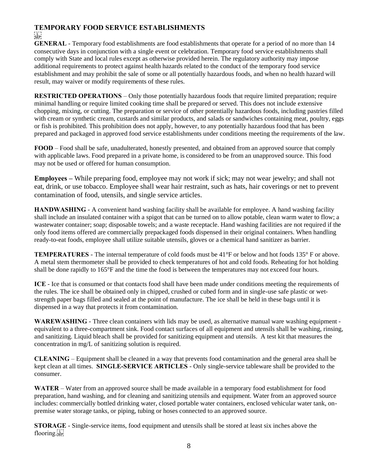#### **TEMPORARY FOOD SERVICE ESTABLISHMENTS SEP**

**GENERAL** - Temporary food establishments are food establishments that operate for a period of no more than 14 consecutive days in conjunction with a single event or celebration. Temporary food service establishments shall comply with State and local rules except as otherwise provided herein. The regulatory authority may impose additional requirements to protect against health hazards related to the conduct of the temporary food service establishment and may prohibit the sale of some or all potentially hazardous foods, and when no health hazard will result, may waiver or modify requirements of these rules.

**RESTRICTED OPERATIONS** – Only those potentially hazardous foods that require limited preparation; require minimal handling or require limited cooking time shall be prepared or served. This does not include extensive chopping, mixing, or cutting. The preparation or service of other potentially hazardous foods, including pastries filled with cream or synthetic cream, custards and similar products, and salads or sandwiches containing meat, poultry, eggs or fish is prohibited. This prohibition does not apply, however, to any potentially hazardous food that has been prepared and packaged in approved food service establishments under conditions meeting the requirements of the law.

**FOOD** – Food shall be safe, unadulterated, honestly presented, and obtained from an approved source that comply with applicable laws. Food prepared in a private home, is considered to be from an unapproved source. This food may not be used or offered for human consumption.

**Employees –** While preparing food, employee may not work if sick; may not wear jewelry; and shall not eat, drink, or use tobacco. Employee shall wear hair restraint, such as hats, hair coverings or net to prevent contamination of food, utensils, and single service articles.

**HANDWASHING** - A convenient hand washing facility shall be available for employee. A hand washing facility shall include an insulated container with a spigot that can be turned on to allow potable, clean warm water to flow; a wastewater container; soap; disposable towels; and a waste receptacle. Hand washing facilities are not required if the only food items offered are commercially prepackaged foods dispensed in their original containers. When handling ready-to-eat foods, employee shall utilize suitable utensils, gloves or a chemical hand sanitizer as barrier.

**TEMPERATURES** - The internal temperature of cold foods must be 41°F or below and hot foods 135° F or above. A metal stem thermometer shall be provided to check temperatures of hot and cold foods. Reheating for hot holding shall be done rapidly to 165°F and the time the food is between the temperatures may not exceed four hours.

**ICE** - Ice that is consumed or that contacts food shall have been made under conditions meeting the requirements of the rules. The ice shall be obtained only in chipped, crushed or cubed form and in single-use safe plastic or wetstrength paper bags filled and sealed at the point of manufacture. The ice shall be held in these bags until it is dispensed in a way that protects it from contamination.

**WAREWASHING** - Three clean containers with lids may be used, as alternative manual ware washing equipment equivalent to a three-compartment sink. Food contact surfaces of all equipment and utensils shall be washing, rinsing, and sanitizing. Liquid bleach shall be provided for sanitizing equipment and utensils. A test kit that measures the concentration in mg/L of sanitizing solution is required.

**CLEANING** – Equipment shall be cleaned in a way that prevents food contamination and the general area shall be kept clean at all times. **SINGLE-SERVICE ARTICLES** - Only single-service tableware shall be provided to the consumer.

**WATER** – Water from an approved source shall be made available in a temporary food establishment for food preparation, hand washing, and for cleaning and sanitizing utensils and equipment. Water from an approved source includes: commercially bottled drinking water, closed portable water containers, enclosed vehicular water tank, onpremise water storage tanks, or piping, tubing or hoses connected to an approved source.

**STORAGE** - Single-service items, food equipment and utensils shall be stored at least six inches above the flooring.<sub>sep</sub>